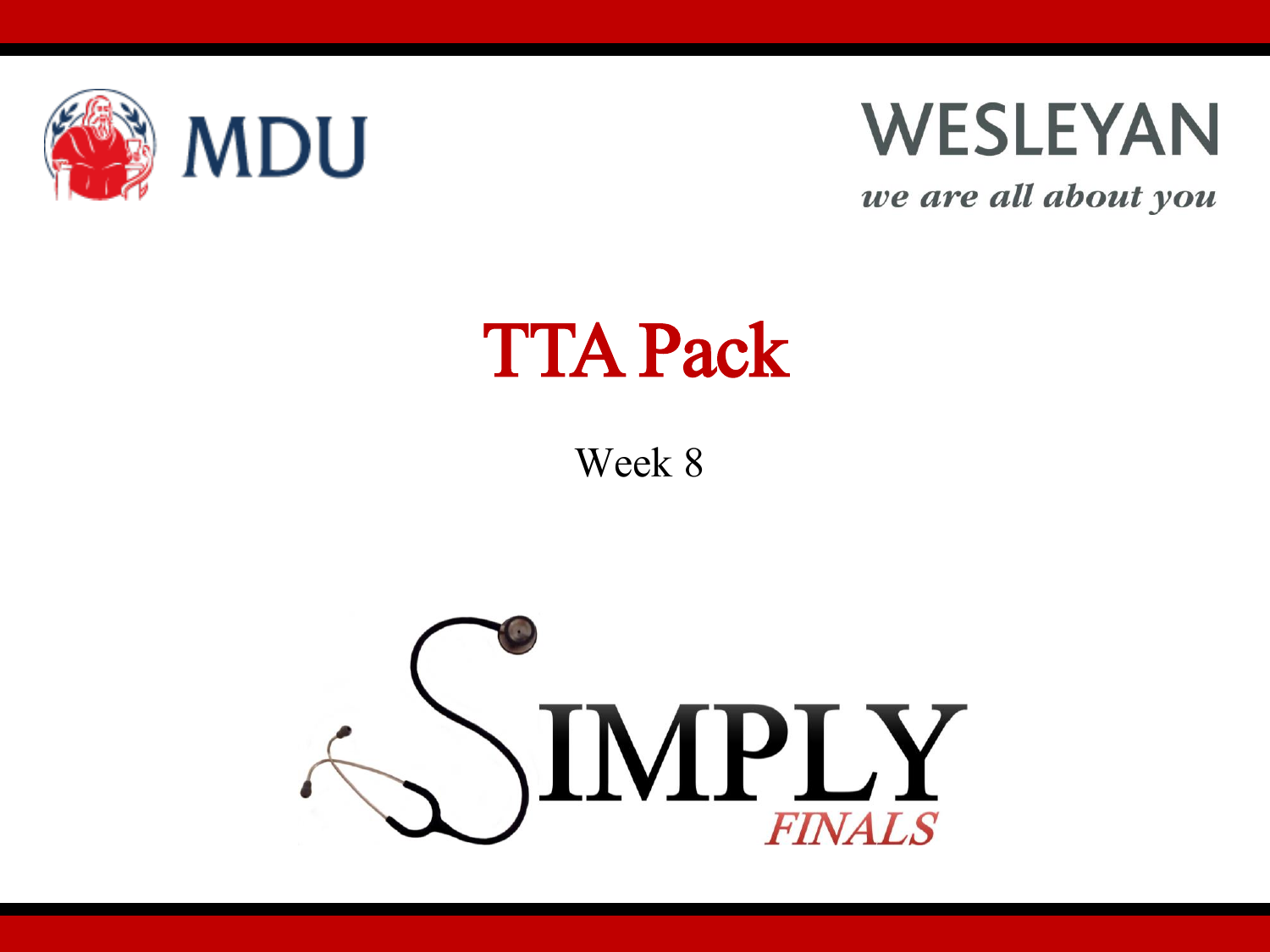



we are all about you

### TTA Pack

Week 8

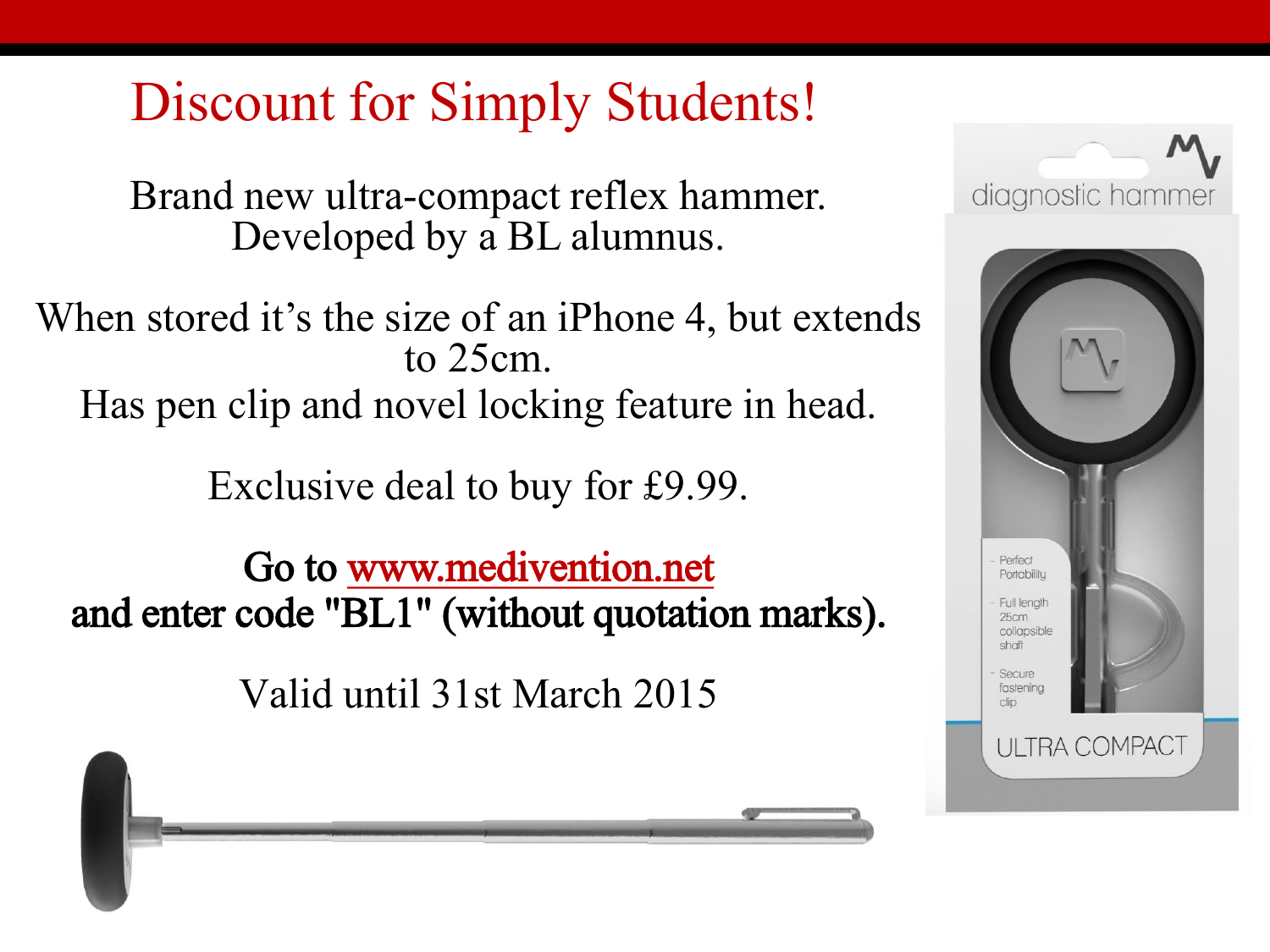#### Discount for Simply Students!

Brand new ultra-compact reflex hammer. Developed by a BL alumnus.

When stored it's the size of an iPhone 4, but extends to 25cm. Has pen clip and novel locking feature in head.

Exclusive deal to buy for £9.99.

Go to [www.medivention.net](http://www.medivention.net/) and enter code "BL1" (without quotation marks).

Valid until 31st March 2015



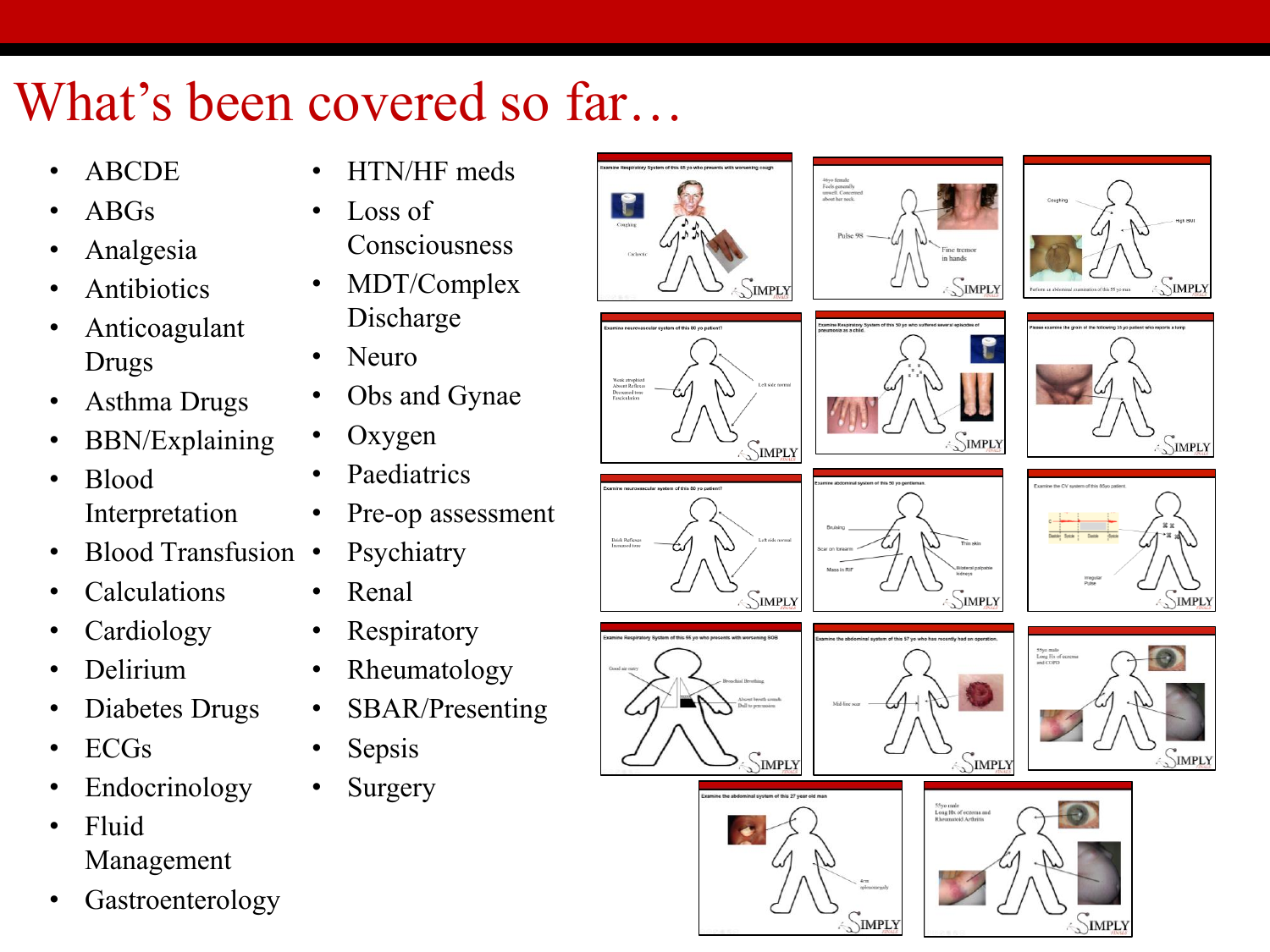#### What's been covered so far…

- ABCDE
- ABGs
- Analgesia
- **Antibiotics**
- Anticoagulant Drugs
- Asthma Drugs
- BBN/Explaining
- Blood Interpretation
- Blood Transfusion
- **Calculations**
- **Cardiology**
- Delirium
- Diabetes Drugs
- ECGs
- **Endocrinology**
- Fluid Management
- **Gastroenterology**
- HTN/HF meds
- Loss of Consciousness
- MDT/Complex Discharge
- Neuro
- Obs and Gynae
- Oxygen
- Paediatrics
- Pre-op assessment
- Psychiatry
- Renal
- Respiratory
- Rheumatology
- SBAR/Presenting
- Sepsis
- **Surgery**



Weak atrophic<br>Absent Reflex<br>Decreased ton











SIMPLY











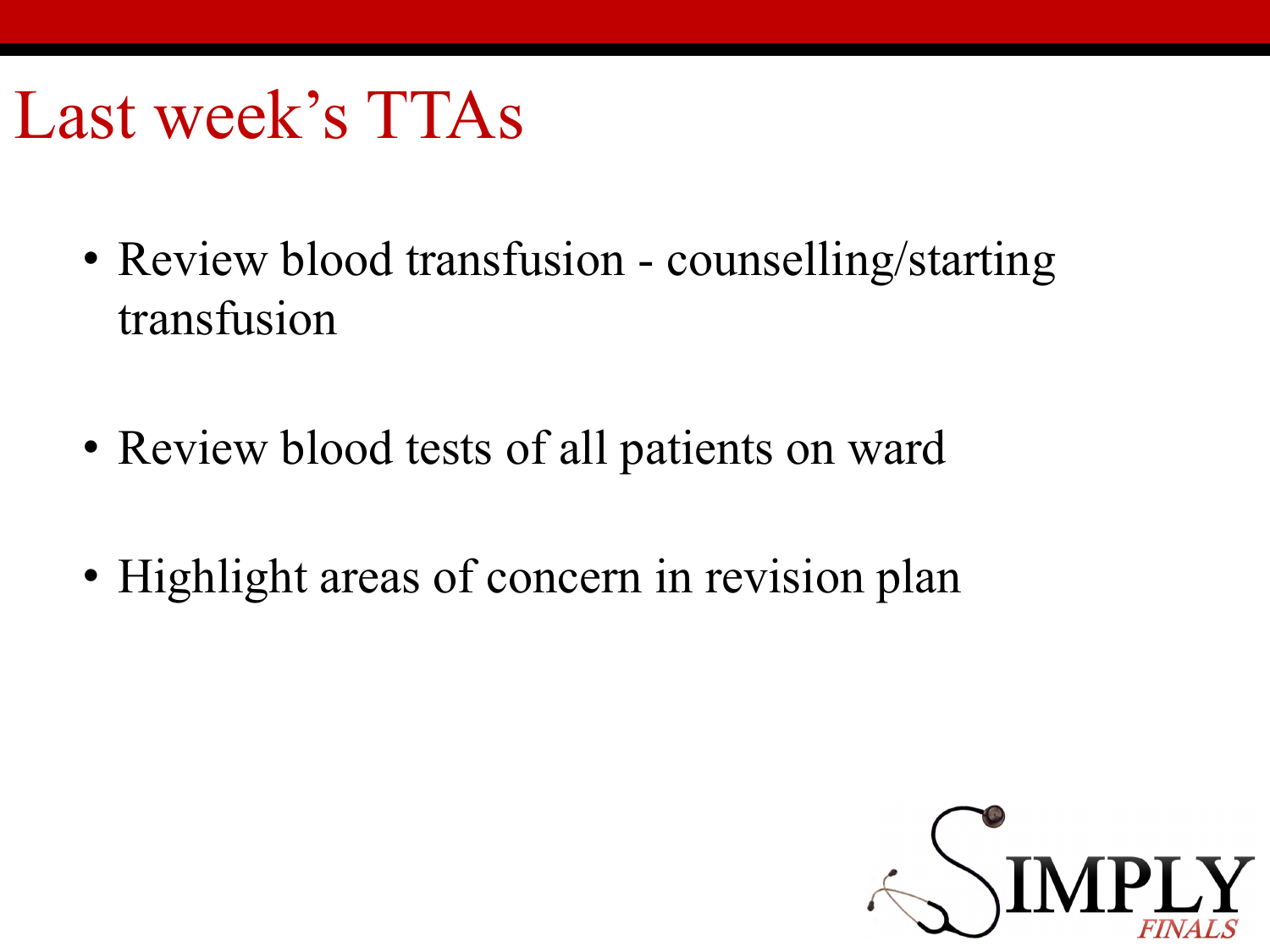### Last week's TTAs

- Review blood transfusion counselling/starting transfusion
- Review blood tests of all patients on ward
- Highlight areas of concern in revision plan

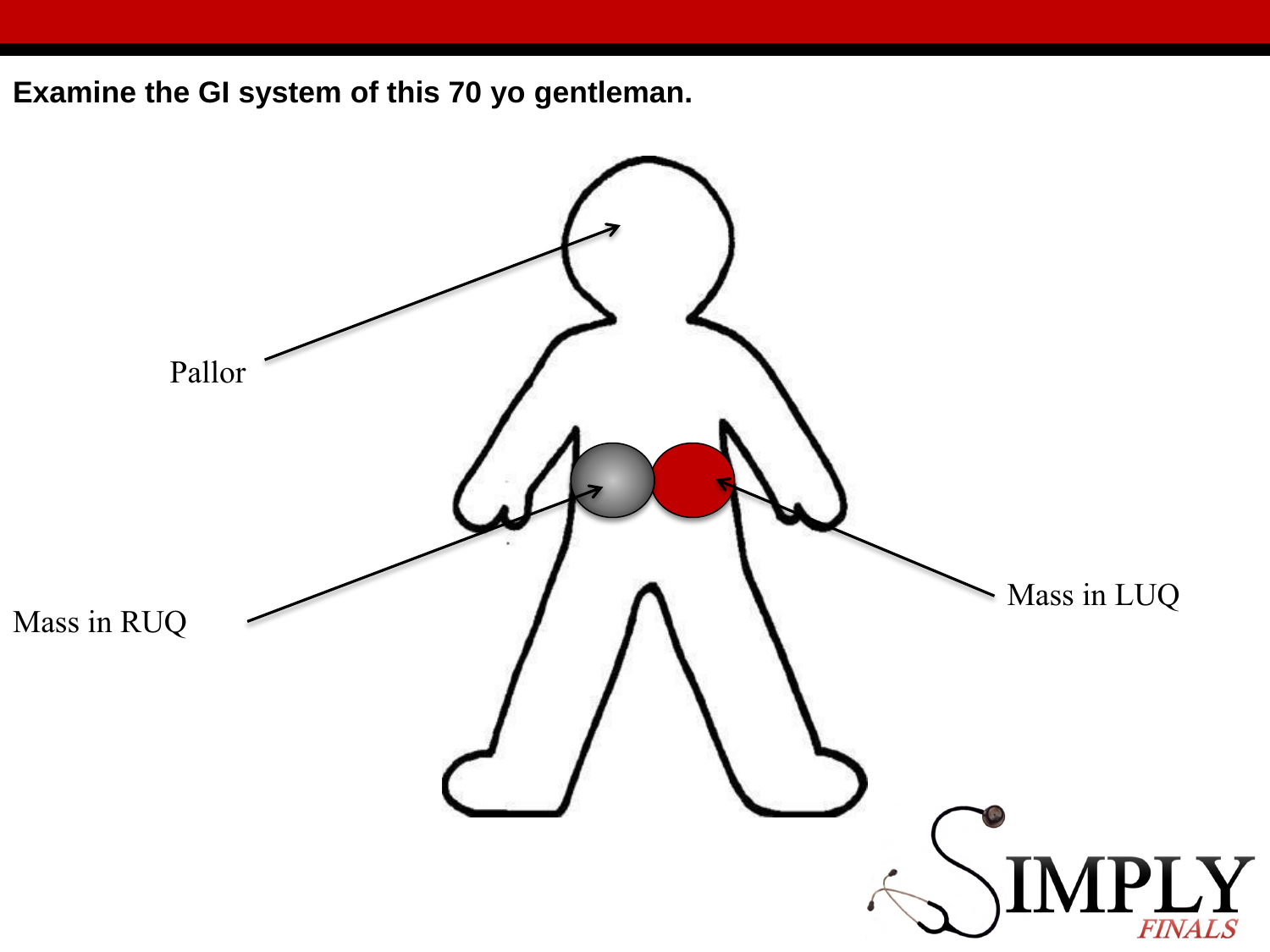**Examine the GI system of this 70 yo gentleman.** 

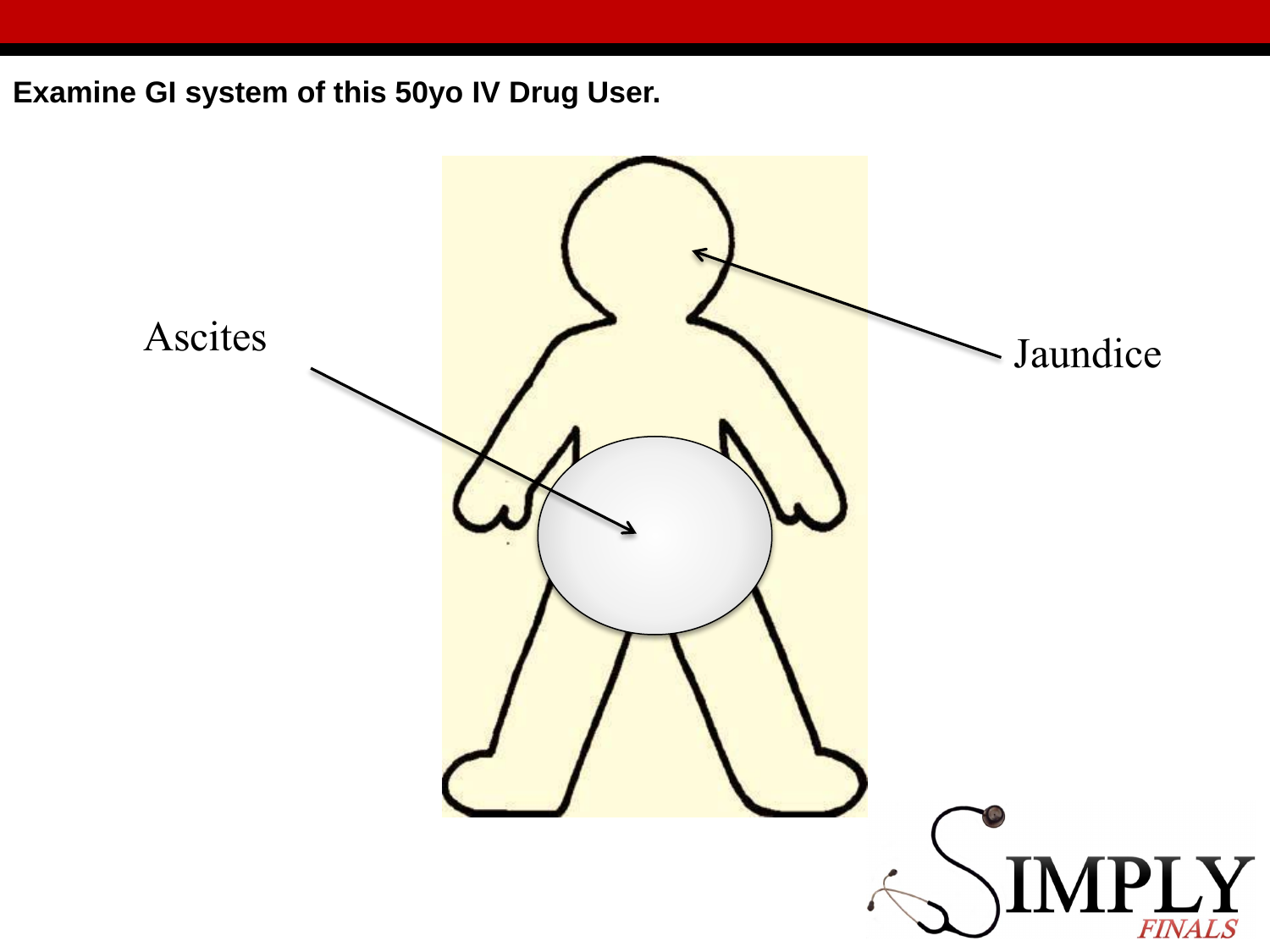Examine GI system of this 50yo IV Drug User.

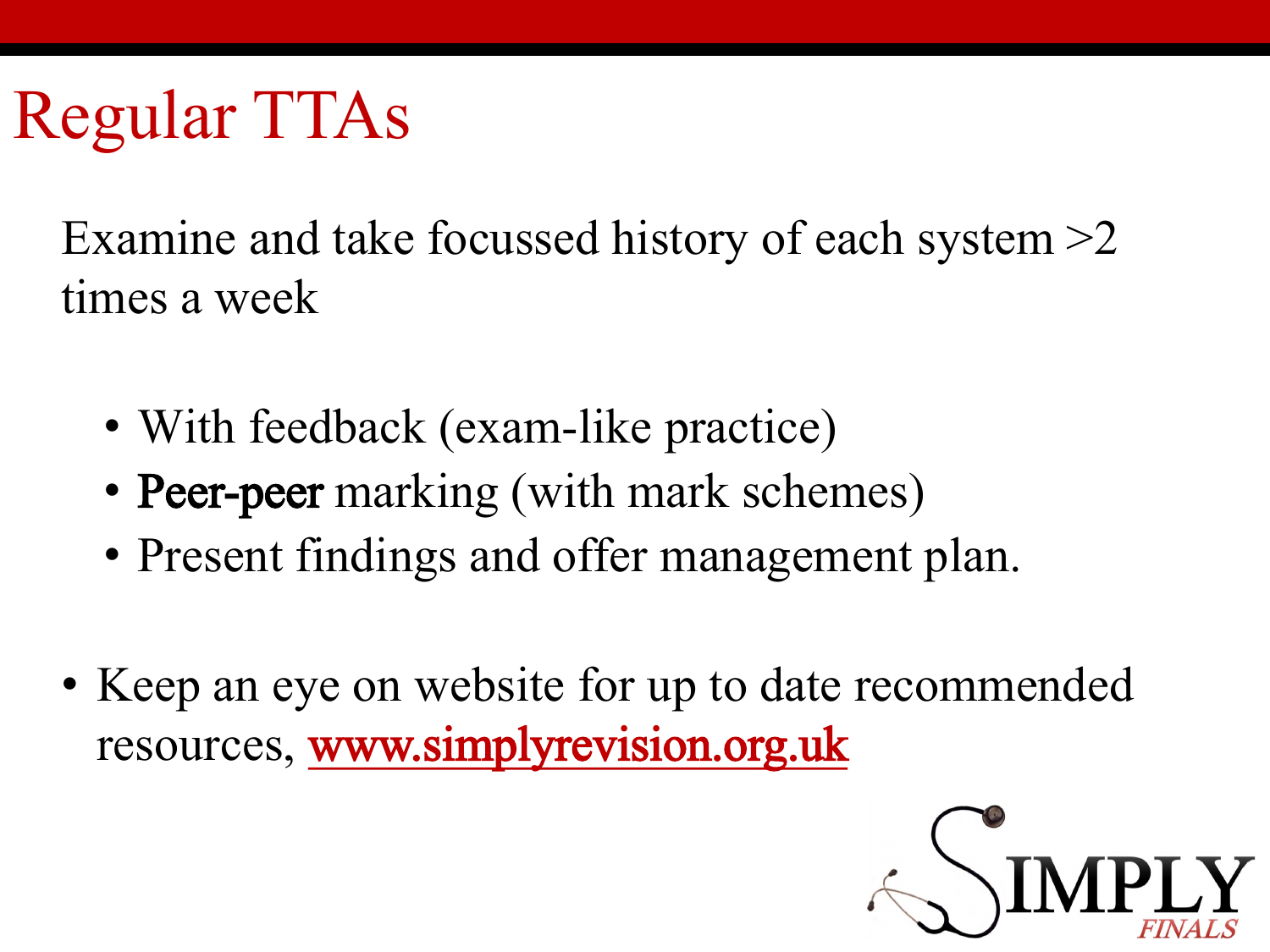## Regular TTAs

Examine and take focussed history of each system >2 times a week

- With feedback (exam-like practice)
- **Peer-peer** marking (with mark schemes)
- Present findings and offer management plan.
- Keep an eye on website for up to date recommended resources, [www.simplyrevision.org.uk](http://www.simplyrevision.org.uk)

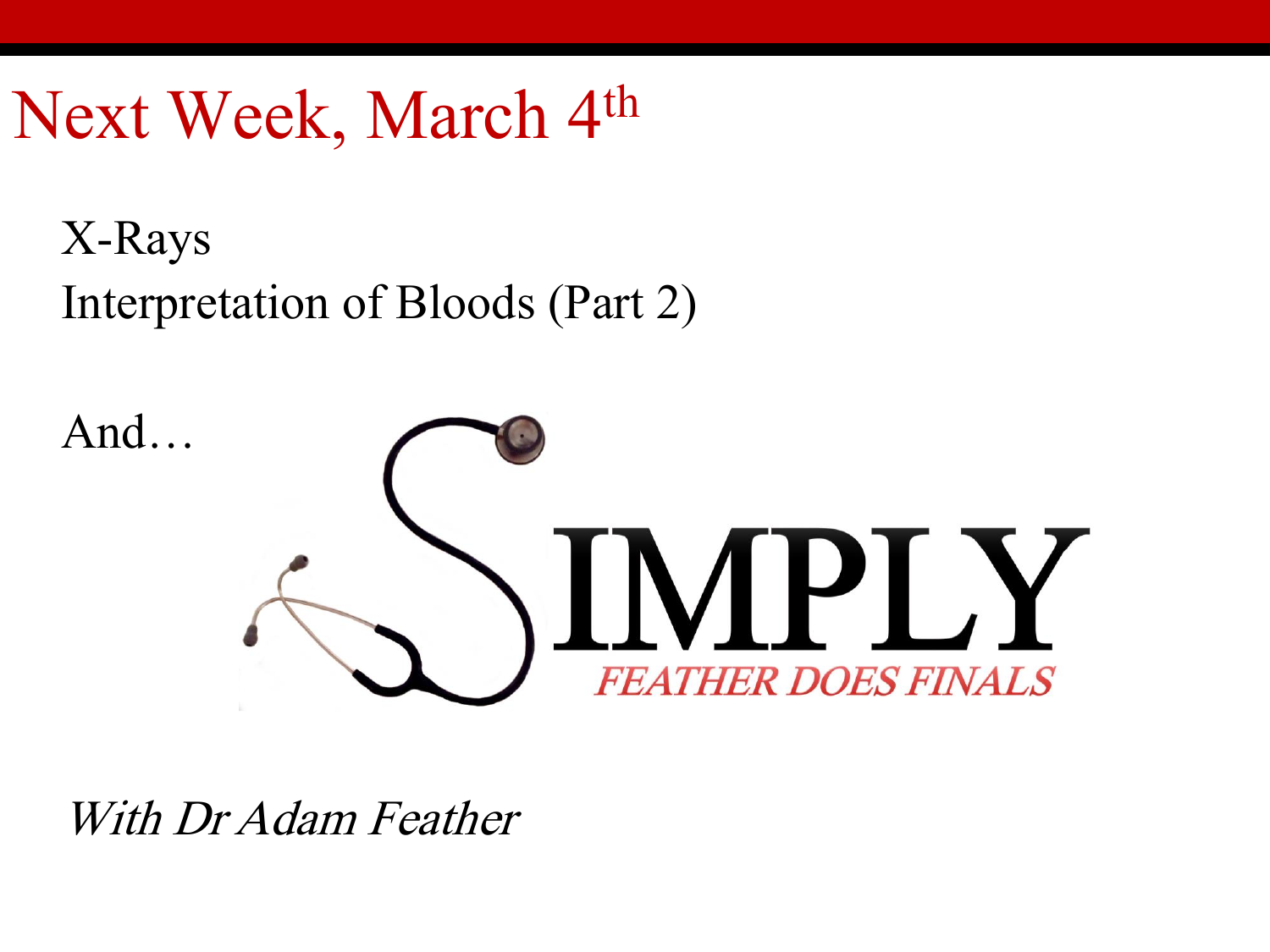### Next Week, March 4th

X-Rays Interpretation of Bloods (Part 2)



With Dr Adam Feather